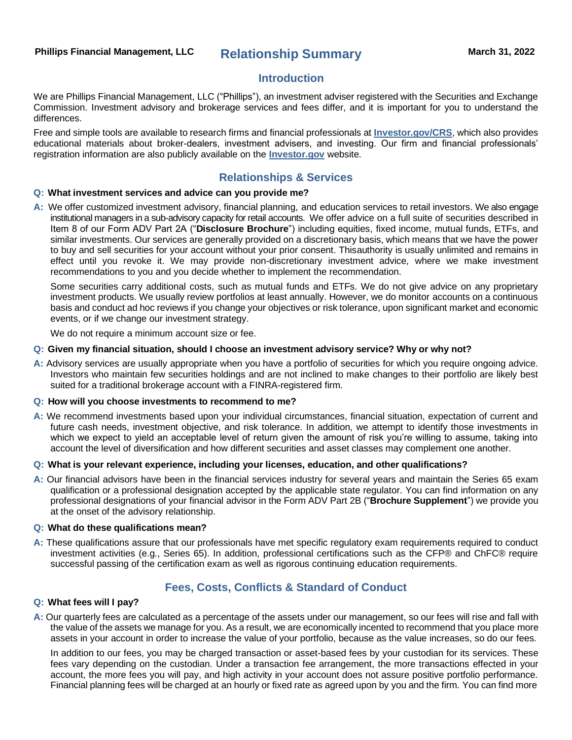# **Phillips Financial Management, LLC Relationship Summary March 31, 2022**

### **Introduction**

We are Phillips Financial Management, LLC ("Phillips"), an investment adviser registered with the Securities and Exchange Commission. Investment advisory and brokerage services and fees differ, and it is important for you to understand the differences.

Free and simple tools are available to research firms and financial professionals at **[Investor.gov/CRS](https://www.investor.gov/CRS)**, which also provides educational materials about broker-dealers, investment advisers, and investing. Our firm and financial professionals' registration information are also publicly available on the **[Investor.gov](http://www.investor.gov/)** website.

## **Relationships & Services**

#### **Q: What investment services and advice can you provide me?**

**A:** We offer customized investment advisory, financial planning, and education services to retail investors. We also engage institutional managers in a sub-advisory capacity for retail accounts. We offer advice on a full suite of securities described in Item 8 of our Form ADV Part 2A ("**Disclosure Brochure**") including equities, fixed income, mutual funds, ETFs, and similar investments. Our services are generally provided on a discretionary basis, which means that we have the power to buy and sell securities for your account without your prior consent. Thisauthority is usually unlimited and remains in effect until you revoke it. We may provide non-discretionary investment advice, where we make investment recommendations to you and you decide whether to implement the recommendation.

Some securities carry additional costs, such as mutual funds and ETFs. We do not give advice on any proprietary investment products. We usually review portfolios at least annually. However, we do monitor accounts on a continuous basis and conduct ad hoc reviews if you change your objectives or risk tolerance, upon significant market and economic events, or if we change our investment strategy.

We do not require a minimum account size or fee.

#### **Q: Given my financial situation, should I choose an investment advisory service? Why or why not?**

**A:** Advisory services are usually appropriate when you have a portfolio of securities for which you require ongoing advice. Investors who maintain few securities holdings and are not inclined to make changes to their portfolio are likely best suited for a traditional brokerage account with a FINRA-registered firm.

#### **Q: How will you choose investments to recommend to me?**

**A:** We recommend investments based upon your individual circumstances, financial situation, expectation of current and future cash needs, investment objective, and risk tolerance. In addition, we attempt to identify those investments in which we expect to yield an acceptable level of return given the amount of risk you're willing to assume, taking into account the level of diversification and how different securities and asset classes may complement one another.

#### **Q: What is your relevant experience, including your licenses, education, and other qualifications?**

**A:** Our financial advisors have been in the financial services industry for several years and maintain the Series 65 exam qualification or a professional designation accepted by the applicable state regulator. You can find information on any professional designations of your financial advisor in the Form ADV Part 2B ("**Brochure Supplement**") we provide you at the onset of the advisory relationship.

#### **Q: What do these qualifications mean?**

**A:** These qualifications assure that our professionals have met specific regulatory exam requirements required to conduct investment activities (e.g., Series 65). In addition, professional certifications such as the CFP® and ChFC® require successful passing of the certification exam as well as rigorous continuing education requirements.

### **Fees, Costs, Conflicts & Standard of Conduct**

#### **Q: What fees will I pay?**

**A:** Our quarterly fees are calculated as a percentage of the assets under our management, so our fees will rise and fall with the value of the assets we manage for you. As a result, we are economically incented to recommend that you place more assets in your account in order to increase the value of your portfolio, because as the value increases, so do our fees.

In addition to our fees, you may be charged transaction or asset-based fees by your custodian for its services. These fees vary depending on the custodian. Under a transaction fee arrangement, the more transactions effected in your account, the more fees you will pay, and high activity in your account does not assure positive portfolio performance. Financial planning fees will be charged at an hourly or fixed rate as agreed upon by you and the firm. You can find more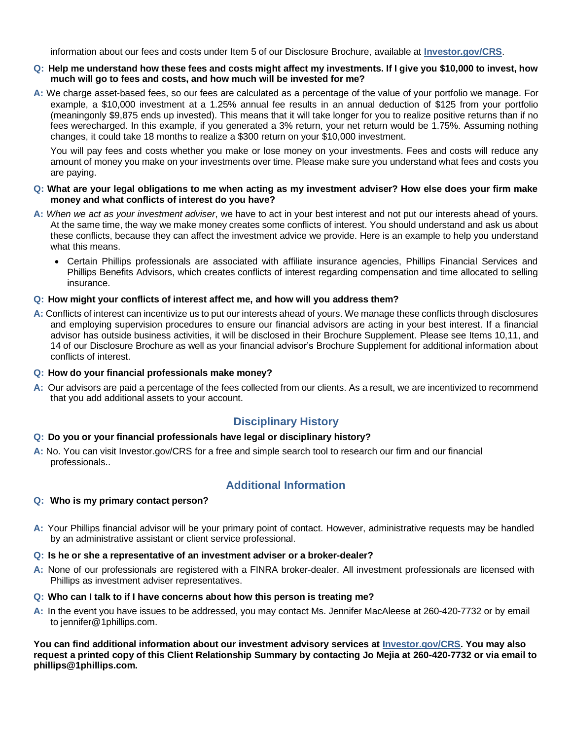information about our fees and costs under Item 5 of our Disclosure Brochure, available at **[Investor.gov/CRS](https://www.investor.gov/CRS)**.

#### Q: Help me understand how these fees and costs might affect my investments. If I give you \$10,000 to invest, how **much will go to fees and costs, and how much will be invested for me?**

**A:** We charge asset-based fees, so our fees are calculated as a percentage of the value of your portfolio we manage. For example, a \$10,000 investment at a 1.25% annual fee results in an annual deduction of \$125 from your portfolio (meaningonly \$9,875 ends up invested). This means that it will take longer for you to realize positive returns than if no fees werecharged. In this example, if you generated a 3% return, your net return would be 1.75%. Assuming nothing changes, it could take 18 months to realize a \$300 return on your \$10,000 investment.

You will pay fees and costs whether you make or lose money on your investments. Fees and costs will reduce any amount of money you make on your investments over time. Please make sure you understand what fees and costs you are paying.

#### **Q: What are your legal obligations to me when acting as my investment adviser? How else does your firm make money and what conflicts of interest do you have?**

- **A:** *When we act as your investment adviser*, we have to act in your best interest and not put our interests ahead of yours. At the same time, the way we make money creates some conflicts of interest. You should understand and ask us about these conflicts, because they can affect the investment advice we provide. Here is an example to help you understand what this means.
	- Certain Phillips professionals are associated with affiliate insurance agencies, Phillips Financial Services and Phillips Benefits Advisors, which creates conflicts of interest regarding compensation and time allocated to selling insurance.

### **Q: How might your conflicts of interest affect me, and how will you address them?**

**A:** Conflicts of interest can incentivize us to put our interests ahead of yours. We manage these conflicts through disclosures and employing supervision procedures to ensure our financial advisors are acting in your best interest. If a financial advisor has outside business activities, it will be disclosed in their Brochure Supplement. Please see Items 10,11, and 14 of our Disclosure Brochure as well as your financial advisor's Brochure Supplement for additional information about conflicts of interest.

### **Q: How do your financial professionals make money?**

**A:** Our advisors are paid a percentage of the fees collected from our clients. As a result, we are incentivized to recommend that you add additional assets to your account.

# **Disciplinary History**

### **Q: Do you or your financial professionals have legal or disciplinary history?**

**A:** No. You can visit Investor.gov/CRS for a free and simple search tool to research our firm and our financial professionals..

### **Q: Who is my primary contact person?**

# **Additional Information**

**A:** Your Phillips financial advisor will be your primary point of contact. However, administrative requests may be handled by an administrative assistant or client service professional.

### **Q: Is he or she a representative of an investment adviser or a broker-dealer?**

**A:** None of our professionals are registered with a FINRA broker-dealer. All investment professionals are licensed with Phillips as investment adviser representatives.

### **Q: Who can I talk to if I have concerns about how this person is treating me?**

**A:** In the event you have issues to be addressed, you may contact Ms. Jennifer MacAleese at 260-420-7732 or by email to [jennifer@1phillips.com.](mailto:jennifer@1phillips.com)

**You can find additional information about our investment advisory services at [Investor.gov/CRS. Y](https://www.investor.gov/CRS)ou may also request a printed copy of this Client Relationship Summary by contacting Jo Mejia at 260-420-7732 or via email to [phillips@1phillips.com.](mailto:phillips@1phillips.com)**